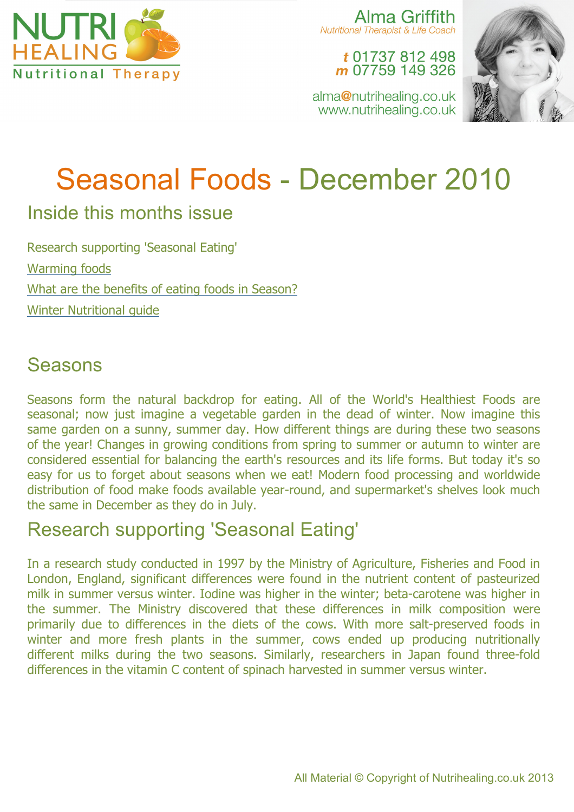

Alma Griffith Nutritional Therapist & Life Coach

t 01737 812 498 m 07759 149 326

alma@nutrihealing.co.uk www.nutrihealing.co.uk



# Seasonal Foods - December 2010

## Inside this months issue

Research supporting 'Seasonal Eating' Warming foods What are the benefits of eating foods in Season? Winter Nutritional guide

### Seasons

Seasons form the natural backdrop for eating. All of the World's Healthiest Foods are seasonal; now just imagine a vegetable garden in the dead of winter. Now imagine this same garden on a sunny, summer day. How different things are during these two seasons of the year! Changes in growing conditions from spring to summer or autumn to winter are considered essential for balancing the earth's resources and its life forms. But today it's so easy for us to forget about seasons when we eat! Modern food processing and worldwide distribution of food make foods available year-round, and supermarket's shelves look much the same in December as they do in July.

## Research supporting 'Seasonal Eating'

In a research study conducted in 1997 by the Ministry of Agriculture, Fisheries and Food in London, England, significant differences were found in the nutrient content of pasteurized milk in summer versus winter. Iodine was higher in the winter; beta-carotene was higher in the summer. The Ministry discovered that these differences in milk composition were primarily due to differences in the diets of the cows. With more salt-preserved foods in winter and more fresh plants in the summer, cows ended up producing nutritionally different milks during the two seasons. Similarly, researchers in Japan found three-fold differences in the vitamin C content of spinach harvested in summer versus winter.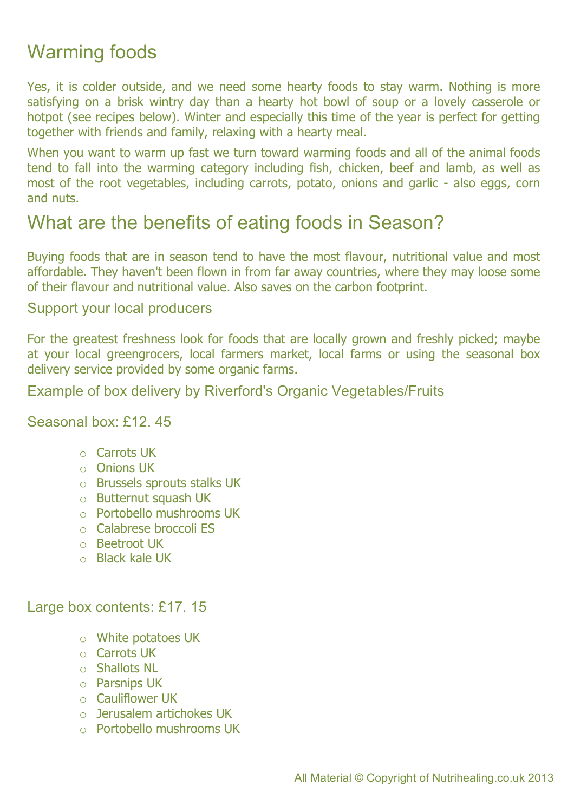# Warming foods

Yes, it is colder outside, and we need some hearty foods to stay warm. Nothing is more satisfying on a brisk wintry day than a hearty hot bowl of soup or a lovely casserole or hotpot (see recipes below). Winter and especially this time of the year is perfect for getting together with friends and family, relaxing with a hearty meal.

When you want to warm up fast we turn toward warming foods and all of the animal foods tend to fall into the warming category including fish, chicken, beef and lamb, as well as most of the root vegetables, including carrots, potato, onions and garlic - also eggs, corn and nuts.

# What are the benefits of eating foods in Season?

Buying foods that are in season tend to have the most flavour, nutritional value and most affordable. They haven't been flown in from far away countries, where they may loose some of their flavour and nutritional value. Also saves on the carbon footprint.

#### Support your local producers

For the greatest freshness look for foods that are locally grown and freshly picked; maybe at your local greengrocers, local farmers market, local farms or using the seasonal box delivery service provided by some organic farms.

#### Example of box delivery by Riverford's Organic Vegetables/Fruits

Seasonal box: £12. 45

- o Carrots UK
- o Onions UK
- o Brussels sprouts stalks UK
- o Butternut squash UK
- o Portobello mushrooms UK
- o Calabrese broccoli ES
- o Beetroot UK
- o Black kale UK

#### Large box contents: £17. 15

- o White potatoes UK
- o Carrots UK
- o Shallots NL
- o Parsnips UK
- o Cauliflower UK
- o Jerusalem artichokes UK
- o Portobello mushrooms UK